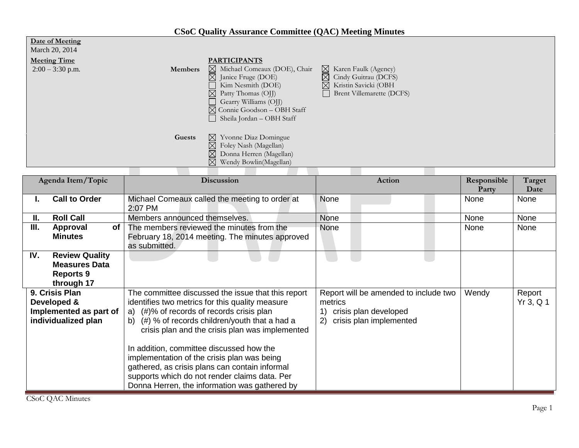| <b>CSoC Quality Assurance Committee (QAC) Meeting Minutes</b> |  |  |  |  |
|---------------------------------------------------------------|--|--|--|--|
|                                                               |  |  |  |  |
|                                                               |  |  |  |  |

| March 20, 2014      |                |                                        |                                  |
|---------------------|----------------|----------------------------------------|----------------------------------|
| <b>Meeting Time</b> |                | <b>PARTICIPANTS</b>                    |                                  |
| $2:00 - 3:30$ p.m.  | <b>Members</b> | Michael Comeaux (DOE), Chair           | $\boxtimes$ Karen Faulk (Agency) |
|                     |                | $\boxtimes$ Janice Fruge (DOE)         | $\boxtimes$ Cindy Guitrau (DCFS) |
|                     |                | Kim Nesmith (DOE)                      | ⊠ Kristin Savicki (OBH           |
|                     |                | $\boxtimes$ Patty Thomas (OJJ)         | Brent Villemarette (DCFS)        |
|                     |                | Gearry Williams (OJJ)                  |                                  |
|                     |                | $\boxtimes$ Connie Goodson - OBH Staff |                                  |
|                     |                | Sheila Jordan - OBH Staff              |                                  |
|                     |                |                                        |                                  |
|                     | Guests         | $\boxtimes$ Yvonne Diaz Domingue       |                                  |
|                     |                | $\boxtimes$ Foley Nash (Magellan)      |                                  |
|                     |                | $\boxtimes$<br>Donna Herren (Magellan) |                                  |
|                     |                | $\boxtimes$ Wendy Bowlin(Magellan)     |                                  |
|                     |                |                                        |                                  |

| Agenda Item/Topic |                                                                                 | <b>Discussion</b>                                                                                                                                                                                                                                                                                                                                                                                                                                                                                          | Action                                                                                                     | Responsible<br>Party | Target<br>Date      |
|-------------------|---------------------------------------------------------------------------------|------------------------------------------------------------------------------------------------------------------------------------------------------------------------------------------------------------------------------------------------------------------------------------------------------------------------------------------------------------------------------------------------------------------------------------------------------------------------------------------------------------|------------------------------------------------------------------------------------------------------------|----------------------|---------------------|
|                   | <b>Call to Order</b>                                                            | Michael Comeaux called the meeting to order at<br>2:07 PM                                                                                                                                                                                                                                                                                                                                                                                                                                                  | None                                                                                                       | None                 | None                |
| Ш.                | <b>Roll Call</b>                                                                | Members announced themselves.                                                                                                                                                                                                                                                                                                                                                                                                                                                                              | None                                                                                                       | None                 | None                |
| Ш.                | 0f<br>Approval<br><b>Minutes</b>                                                | The members reviewed the minutes from the<br>February 18, 2014 meeting. The minutes approved<br>as submitted.                                                                                                                                                                                                                                                                                                                                                                                              | None                                                                                                       | None                 | None                |
| IV.               | <b>Review Quality</b><br><b>Measures Data</b><br><b>Reports 9</b><br>through 17 |                                                                                                                                                                                                                                                                                                                                                                                                                                                                                                            |                                                                                                            |                      |                     |
|                   | 9. Crisis Plan<br>Developed &<br>Implemented as part of<br>individualized plan  | The committee discussed the issue that this report<br>identifies two metrics for this quality measure<br>a) (#)% of records of records crisis plan<br>(#) % of records children/youth that a had a<br>b)<br>crisis plan and the crisis plan was implemented<br>In addition, committee discussed how the<br>implementation of the crisis plan was being<br>gathered, as crisis plans can contain informal<br>supports which do not render claims data. Per<br>Donna Herren, the information was gathered by | Report will be amended to include two<br>metrics<br>crisis plan developed<br>crisis plan implemented<br>2) | Wendy                | Report<br>Yr 3, Q 1 |

**Date of Meeting**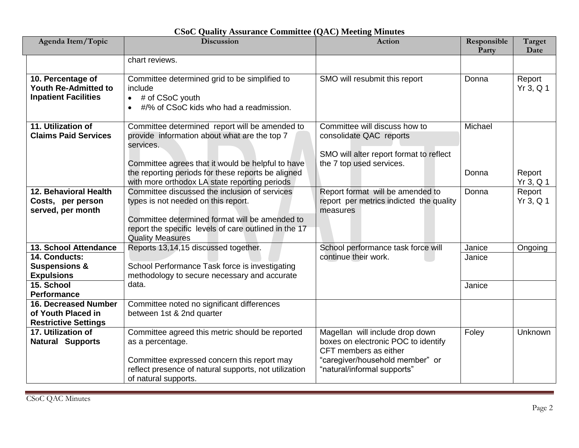| Agenda Item/Topic                                                                | <b>Discussion</b>                                                                                                                                                                                                          | <b>Action</b>                                                                                                                      | Responsible<br>Party | Target<br>Date        |
|----------------------------------------------------------------------------------|----------------------------------------------------------------------------------------------------------------------------------------------------------------------------------------------------------------------------|------------------------------------------------------------------------------------------------------------------------------------|----------------------|-----------------------|
|                                                                                  | chart reviews.                                                                                                                                                                                                             |                                                                                                                                    |                      |                       |
|                                                                                  |                                                                                                                                                                                                                            |                                                                                                                                    |                      |                       |
| 10. Percentage of<br><b>Youth Re-Admitted to</b><br><b>Inpatient Facilities</b>  | Committee determined grid to be simplified to<br>include<br>$\bullet$ # of CSoC youth<br>#/% of CSoC kids who had a readmission.<br>$\bullet$                                                                              | SMO will resubmit this report                                                                                                      | Donna                | Report<br>Yr 3, Q 1   |
| 11. Utilization of<br><b>Claims Paid Services</b>                                | Committee determined report will be amended to<br>provide information about what are the top 7<br>services.<br>Committee agrees that it would be helpful to have                                                           | Committee will discuss how to<br>consolidate QAC reports<br>SMO will alter report format to reflect<br>the 7 top used services.    | Michael              |                       |
|                                                                                  | the reporting periods for these reports be aligned<br>with more orthodox LA state reporting periods                                                                                                                        |                                                                                                                                    | Donna                | Report<br>$Yr$ 3, Q 1 |
| 12. Behavioral Health<br>Costs, per person<br>served, per month                  | Committee discussed the inclusion of services<br>types is not needed on this report.<br>Committee determined format will be amended to<br>report the specific levels of care outlined in the 17<br><b>Quality Measures</b> | Report format will be amended to<br>report per metrics indicted the quality<br>measures                                            | Donna                | Report<br>Yr 3, Q 1   |
| 13. School Attendance                                                            | Reports 13,14,15 discussed together.                                                                                                                                                                                       | School performance task force will                                                                                                 | Janice               | Ongoing               |
| 14. Conducts:                                                                    |                                                                                                                                                                                                                            | continue their work.                                                                                                               | Janice               |                       |
| <b>Suspensions &amp;</b>                                                         | School Performance Task force is investigating                                                                                                                                                                             |                                                                                                                                    |                      |                       |
| <b>Expulsions</b>                                                                | methodology to secure necessary and accurate                                                                                                                                                                               |                                                                                                                                    |                      |                       |
| 15. School                                                                       | data.                                                                                                                                                                                                                      |                                                                                                                                    | Janice               |                       |
| Performance                                                                      |                                                                                                                                                                                                                            |                                                                                                                                    |                      |                       |
| <b>16. Decreased Number</b><br>of Youth Placed in<br><b>Restrictive Settings</b> | Committee noted no significant differences<br>between 1st & 2nd quarter                                                                                                                                                    |                                                                                                                                    |                      |                       |
| 17. Utilization of<br><b>Natural Supports</b>                                    | Committee agreed this metric should be reported<br>as a percentage.<br>Committee expressed concern this report may                                                                                                         | Magellan will include drop down<br>boxes on electronic POC to identify<br>CFT members as either<br>"caregiver/household member" or | Foley                | Unknown               |
|                                                                                  | reflect presence of natural supports, not utilization<br>of natural supports.                                                                                                                                              | "natural/informal supports"                                                                                                        |                      |                       |

## **CSoC Quality Assurance Committee (QAC) Meeting Minutes**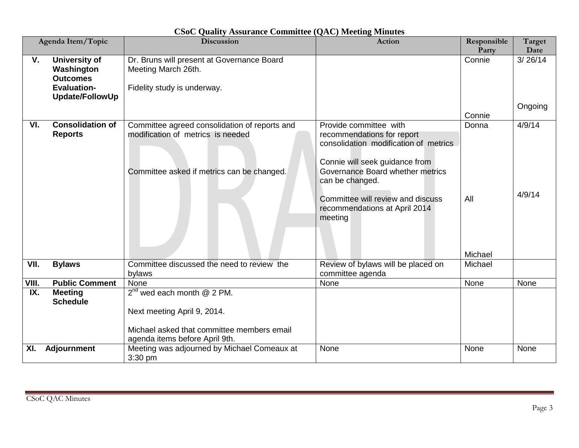| Agenda Item/Topic |                                                                                                | <b>Discussion</b>                                                                                                                              | Action                                                                                                                                                                                                                                                                  | Responsible<br>Party | Target<br>Date   |
|-------------------|------------------------------------------------------------------------------------------------|------------------------------------------------------------------------------------------------------------------------------------------------|-------------------------------------------------------------------------------------------------------------------------------------------------------------------------------------------------------------------------------------------------------------------------|----------------------|------------------|
| $V_{\cdot}$       | <b>University of</b><br>Washington<br><b>Outcomes</b><br><b>Evaluation-</b><br>Update/FollowUp | Dr. Bruns will present at Governance Board<br>Meeting March 26th.<br>Fidelity study is underway.                                               |                                                                                                                                                                                                                                                                         | Connie               | 3/26/14          |
|                   |                                                                                                |                                                                                                                                                |                                                                                                                                                                                                                                                                         | Connie               | Ongoing          |
| VI.               | <b>Consolidation of</b><br><b>Reports</b>                                                      | Committee agreed consolidation of reports and<br>modification of metrics is needed<br>Committee asked if metrics can be changed.               | Provide committee with<br>recommendations for report<br>consolidation modification of metrics<br>Connie will seek guidance from<br>Governance Board whether metrics<br>can be changed.<br>Committee will review and discuss<br>recommendations at April 2014<br>meeting | Donna<br>All         | 4/9/14<br>4/9/14 |
| VII.              | <b>Bylaws</b>                                                                                  | Committee discussed the need to review the                                                                                                     | Review of bylaws will be placed on                                                                                                                                                                                                                                      | Michael<br>Michael   |                  |
|                   |                                                                                                | bylaws                                                                                                                                         | committee agenda                                                                                                                                                                                                                                                        |                      |                  |
| VIII.             | <b>Public Comment</b>                                                                          | None                                                                                                                                           | None                                                                                                                                                                                                                                                                    | None                 | None             |
| IX.               | <b>Meeting</b><br><b>Schedule</b>                                                              | $2^{nd}$ wed each month @ 2 PM.<br>Next meeting April 9, 2014.<br>Michael asked that committee members email<br>agenda items before April 9th. |                                                                                                                                                                                                                                                                         |                      |                  |
| XI.               | <b>Adjournment</b>                                                                             | Meeting was adjourned by Michael Comeaux at<br>3:30 pm                                                                                         | None                                                                                                                                                                                                                                                                    | None                 | None             |

**CSoC Quality Assurance Committee (QAC) Meeting Minutes**